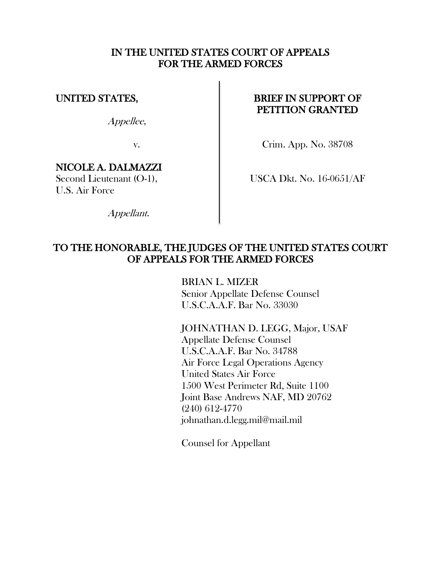## IN THE UNITED STATES COURT OF APPEALS FOR THE ARMED FORCES

# UNITED STATES,

Appellee,

v.

# NICOLE A. DALMAZZI

Second Lieutenant (O-1), U.S. Air Force

Appellant.

# BRIEF IN SUPPORT OF PETITION GRANTED

Crim. App. No. 38708

USCA Dkt. No. 16-0651/AF

# TO THE HONORABLE, THE JUDGES OF THE UNITED STATES COURT OF APPEALS FOR THE ARMED FORCES

BRIAN L. MIZER Senior Appellate Defense Counsel U.S.C.A.A.F. Bar No. 33030

JOHNATHAN D. LEGG, Major, USAF Appellate Defense Counsel U.S.C.A.A.F. Bar No. 34788 Air Force Legal Operations Agency United States Air Force 1500 West Perimeter Rd, Suite 1100 Joint Base Andrews NAF, MD 20762 (240) 612-4770 johnathan.d.legg.mil@mail.mil

Counsel for Appellant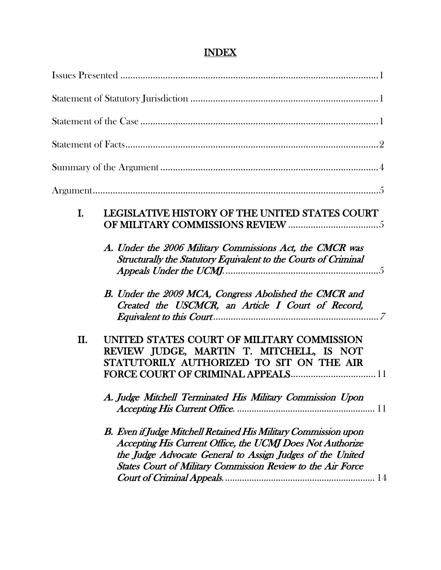|--|

| I.  | LEGISLATIVE HISTORY OF THE UNITED STATES COURT                                                                                                                                                                                                                  |
|-----|-----------------------------------------------------------------------------------------------------------------------------------------------------------------------------------------------------------------------------------------------------------------|
|     | A. Under the 2006 Military Commissions Act, the CMCR was<br>Structurally the Statutory Equivalent to the Courts of Criminal                                                                                                                                     |
|     | B. Under the 2009 MCA, Congress Abolished the CMCR and<br>Created the USCMCR, an Article I Court of Record,                                                                                                                                                     |
| II. | UNITED STATES COURT OF MILITARY COMMISSION<br>REVIEW JUDGE, MARTIN T. MITCHELL, IS NOT<br>STATUTORILY AUTHORIZED TO SIT ON THE AIR                                                                                                                              |
|     | A. Judge Mitchell Terminated His Military Commission Upon                                                                                                                                                                                                       |
|     | B. Even if Judge Mitchell Retained His Military Commission upon<br>Accepting His Current Office, the UCMJ Does Not Authorize<br>the Judge Advocate General to Assign Judges of the United<br><b>States Court of Military Commission Review to the Air Force</b> |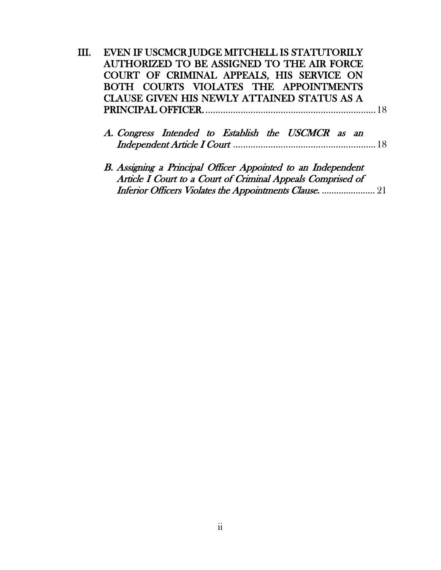| EVEN IF USCMCR JUDGE MITCHELL IS STATUTORILY                                                                                |
|-----------------------------------------------------------------------------------------------------------------------------|
| AUTHORIZED TO BE ASSIGNED TO THE AIR FORCE                                                                                  |
| COURT OF CRIMINAL APPEALS, HIS SERVICE ON                                                                                   |
| BOTH COURTS VIOLATES THE APPOINTMENTS                                                                                       |
| <b>CLAUSE GIVEN HIS NEWLY ATTAINED STATUS AS A</b>                                                                          |
| 18                                                                                                                          |
| A. Congress Intended to Establish the USCMCR as an                                                                          |
| B. Assigning a Principal Officer Appointed to an Independent<br>Article I Court to a Court of Criminal Appeals Comprised of |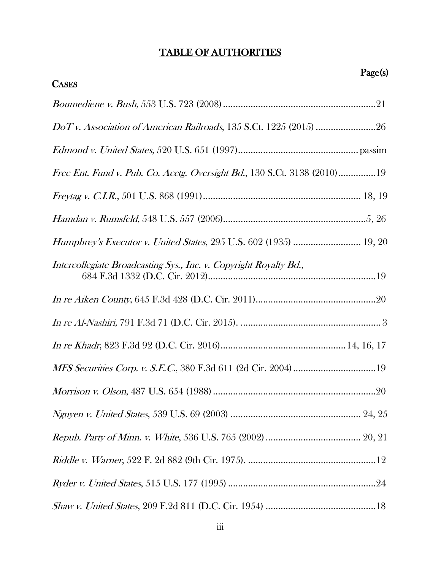# TABLE OF AUTHORITIES

| Page(s)                                                                          |
|----------------------------------------------------------------------------------|
| <b>CASES</b>                                                                     |
|                                                                                  |
|                                                                                  |
|                                                                                  |
| <i>Free Ent. Fund v. Pub. Co. Acctg. Oversight Bd.</i> , 130 S.Ct. 3138 (2010)19 |
|                                                                                  |
|                                                                                  |
| Humphrey's Executor v. United States, 295 U.S. 602 (1935)  19, 20                |
| Intercollegiate Broadcasting Sys., Inc. v. Copyright Royalty Bd.,                |
|                                                                                  |
|                                                                                  |
|                                                                                  |
|                                                                                  |
|                                                                                  |
|                                                                                  |
|                                                                                  |
|                                                                                  |
|                                                                                  |
|                                                                                  |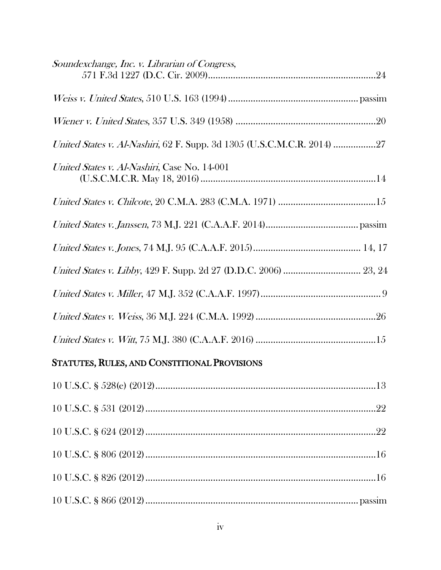| Soundexchange, Inc. v. Librarian of Congress,                           |
|-------------------------------------------------------------------------|
|                                                                         |
|                                                                         |
| United States v. Al-Nashiri, 62 F. Supp. 3d 1305 (U.S.C.M.C.R. 2014) 27 |
| United States v. Al-Nashiri, Case No. 14-001                            |
|                                                                         |
|                                                                         |
|                                                                         |
|                                                                         |
|                                                                         |
|                                                                         |
|                                                                         |

# STATUTES, RULES, AND CONSTITIONAL PROVISIONS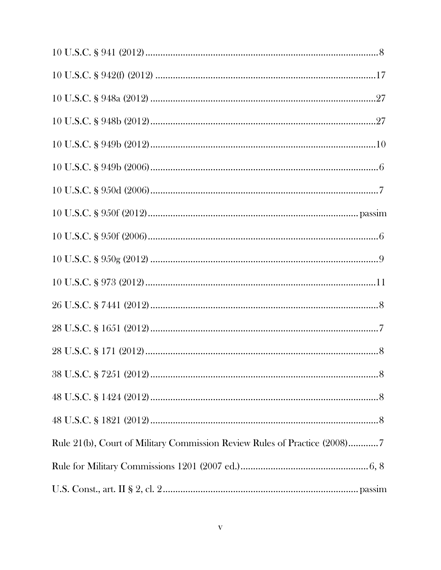| $10 \text{ U.S.C.} \$ $949\text{b} \ (2012) \dots$                        |
|---------------------------------------------------------------------------|
|                                                                           |
|                                                                           |
|                                                                           |
|                                                                           |
|                                                                           |
|                                                                           |
|                                                                           |
|                                                                           |
|                                                                           |
|                                                                           |
|                                                                           |
|                                                                           |
| Rule 21(b), Court of Military Commission Review Rules of Practice (2008)7 |
|                                                                           |
|                                                                           |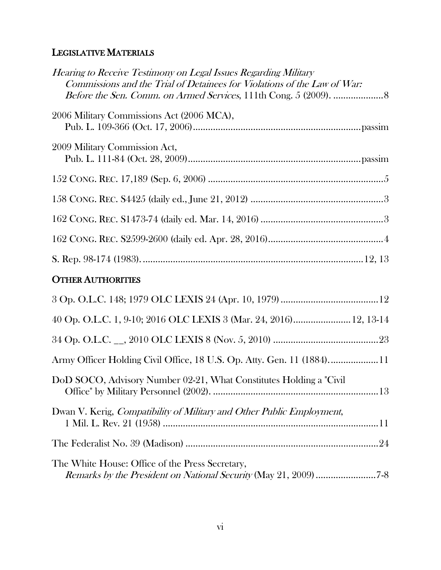# LEGISLATIVE MATERIALS

| Hearing to Receive Testimony on Legal Issues Regarding Military<br>Commissions and the Trial of Detainees for Violations of the Law of War: |
|---------------------------------------------------------------------------------------------------------------------------------------------|
| 2006 Military Commissions Act (2006 MCA),                                                                                                   |
| 2009 Military Commission Act,                                                                                                               |
|                                                                                                                                             |
|                                                                                                                                             |
|                                                                                                                                             |
|                                                                                                                                             |
|                                                                                                                                             |
| <b>OTHER AUTHORITIES</b>                                                                                                                    |
|                                                                                                                                             |
| 40 Op. O.L.C. 1, 9-10; 2016 OLC LEXIS 3 (Mar. 24, 2016) 12, 13-14                                                                           |
|                                                                                                                                             |
| Army Officer Holding Civil Office, 18 U.S. Op. Atty. Gen. 11 (1884)11                                                                       |
| DoD SOCO, Advisory Number 02-21, What Constitutes Holding a "Civil"                                                                         |
| Dwan V. Kerig, Compatibility of Military and Other Public Employment,                                                                       |
|                                                                                                                                             |
| The White House: Office of the Press Secretary,                                                                                             |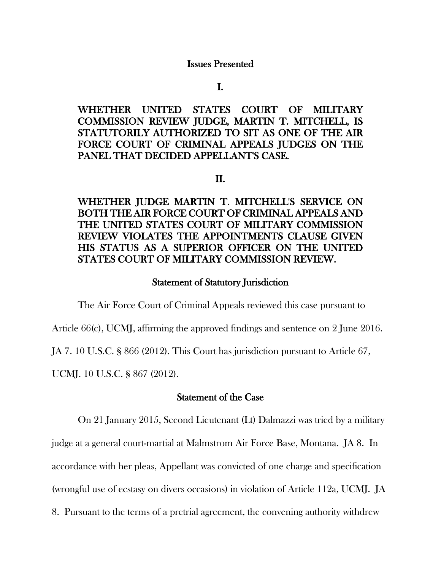#### Issues Presented

I.

WHETHER UNITED STATES COURT OF MILITARY COMMISSION REVIEW JUDGE, MARTIN T. MITCHELL, IS STATUTORILY AUTHORIZED TO SIT AS ONE OF THE AIR FORCE COURT OF CRIMINAL APPEALS JUDGES ON THE PANEL THAT DECIDED APPELLANT'S CASE.

#### II.

# WHETHER JUDGE MARTIN T. MITCHELL'S SERVICE ON BOTH THE AIR FORCE COURT OF CRIMINAL APPEALS AND THE UNITED STATES COURT OF MILITARY COMMISSION REVIEW VIOLATES THE APPOINTMENTS CLAUSE GIVEN HIS STATUS AS A SUPERIOR OFFICER ON THE UNITED STATES COURT OF MILITARY COMMISSION REVIEW.

### Statement of Statutory Jurisdiction

The Air Force Court of Criminal Appeals reviewed this case pursuant to

Article 66(c), UCMJ, affirming the approved findings and sentence on 2 June 2016.

JA 7. 10 U.S.C. § 866 (2012). This Court has jurisdiction pursuant to Article 67,

UCMJ. 10 U.S.C. § 867 (2012).

## Statement of the Case

On 21 January 2015, Second Lieutenant (Lt) Dalmazzi was tried by a military judge at a general court-martial at Malmstrom Air Force Base, Montana. JA 8. In

accordance with her pleas, Appellant was convicted of one charge and specification

(wrongful use of ecstasy on divers occasions) in violation of Article 112a, UCMJ. JA

8. Pursuant to the terms of a pretrial agreement, the convening authority withdrew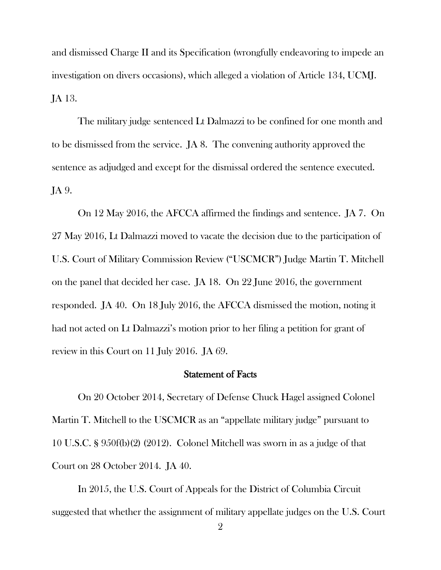and dismissed Charge II and its Specification (wrongfully endeavoring to impede an investigation on divers occasions), which alleged a violation of Article 134, UCMJ. JA 13.

The military judge sentenced Lt Dalmazzi to be confined for one month and to be dismissed from the service. JA 8. The convening authority approved the sentence as adjudged and except for the dismissal ordered the sentence executed. JA 9.

On 12 May 2016, the AFCCA affirmed the findings and sentence. JA 7. On 27 May 2016, Lt Dalmazzi moved to vacate the decision due to the participation of U.S. Court of Military Commission Review ("USCMCR") Judge Martin T. Mitchell on the panel that decided her case. JA 18. On 22 June 2016, the government responded. JA 40. On 18 July 2016, the AFCCA dismissed the motion, noting it had not acted on Lt Dalmazzi's motion prior to her filing a petition for grant of review in this Court on 11 July 2016. JA 69.

#### Statement of Facts

On 20 October 2014, Secretary of Defense Chuck Hagel assigned Colonel Martin T. Mitchell to the USCMCR as an "appellate military judge" pursuant to 10 U.S.C. § 950f(b)(2) (2012). Colonel Mitchell was sworn in as a judge of that Court on 28 October 2014. JA 40.

In 2015, the U.S. Court of Appeals for the District of Columbia Circuit suggested that whether the assignment of military appellate judges on the U.S. Court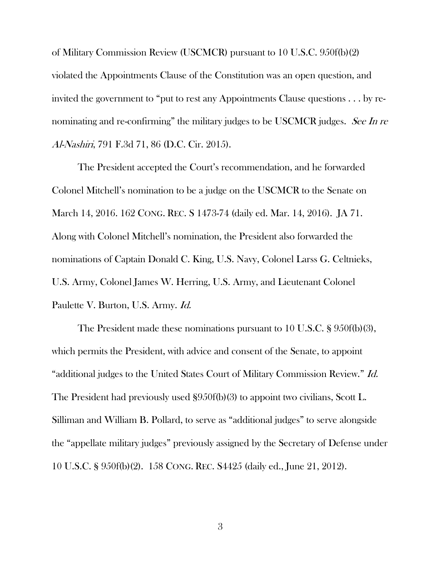of Military Commission Review (USCMCR) pursuant to 10 U.S.C. 950f(b)(2) violated the Appointments Clause of the Constitution was an open question, and invited the government to "put to rest any Appointments Clause questions . . . by renominating and re-confirming" the military judges to be USCMCR judges. See In re Al-Nashiri, 791 F.3d 71, 86 (D.C. Cir. 2015).

The President accepted the Court's recommendation, and he forwarded Colonel Mitchell's nomination to be a judge on the USCMCR to the Senate on March 14, 2016. 162 CONG. REC. S 1473-74 (daily ed. Mar. 14, 2016). JA 71. Along with Colonel Mitchell's nomination, the President also forwarded the nominations of Captain Donald C. King, U.S. Navy, Colonel Larss G. Celtnieks, U.S. Army, Colonel James W. Herring, U.S. Army, and Lieutenant Colonel Paulette V. Burton, U.S. Army. Id.

The President made these nominations pursuant to 10 U.S.C. § 950f(b)(3), which permits the President, with advice and consent of the Senate, to appoint "additional judges to the United States Court of Military Commission Review." Id. The President had previously used §950f(b)(3) to appoint two civilians, Scott L. Silliman and William B. Pollard, to serve as "additional judges" to serve alongside the "appellate military judges" previously assigned by the Secretary of Defense under 10 U.S.C. § 950f(b)(2). 158 CONG. REC. S4425 (daily ed., June 21, 2012).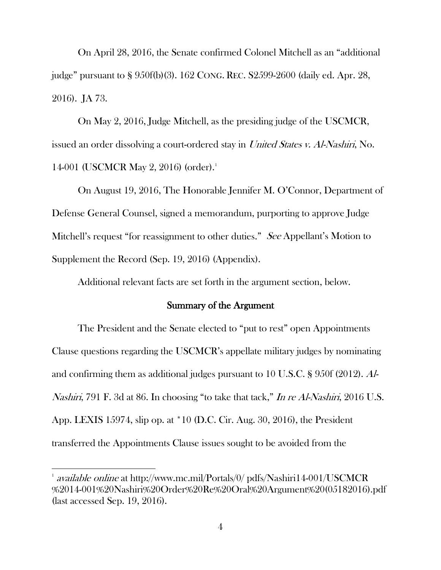On April 28, 2016, the Senate confirmed Colonel Mitchell as an "additional judge" pursuant to § 950f(b)(3). 162 CONG. REC. S2599-2600 (daily ed. Apr. 28, 2016). JA 73.

On May 2, 2016, Judge Mitchell, as the presiding judge of the USCMCR, issued an order dissolving a court-ordered stay in United States v. Al-Nashiri, No. 14-001 (USCMCR May 2, 2016) (order). [1](#page-10-0)

On August 19, 2016, The Honorable Jennifer M. O'Connor, Department of Defense General Counsel, signed a memorandum, purporting to approve Judge Mitchell's request "for reassignment to other duties." See Appellant's Motion to Supplement the Record (Sep. 19, 2016) (Appendix).

Additional relevant facts are set forth in the argument section, below.

### Summary of the Argument

 The President and the Senate elected to "put to rest" open Appointments Clause questions regarding the USCMCR's appellate military judges by nominating and confirming them as additional judges pursuant to 10 U.S.C. § 950f (2012). Al-Nashiri, 791 F. 3d at 86. In choosing "to take that tack," In re Al-Nashiri, 2016 U.S. App. LEXIS 15974, slip op. at \*10 (D.C. Cir. Aug. 30, 2016), the President transferred the Appointments Clause issues sought to be avoided from the

<span id="page-10-0"></span> $^{1}$  available online at http://www.mc.mil/Portals/0/ pdfs/Nashiri14-001/USCMCR %2014-001%20Nashiri%20Order%20Re%20Oral%20Argument%20(05182016).pdf (last accessed Sep. 19, 2016).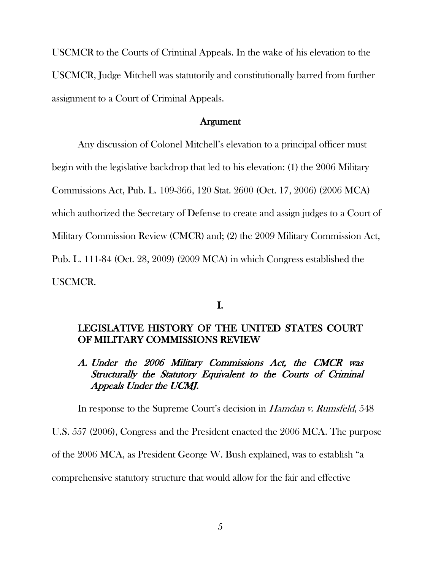USCMCR to the Courts of Criminal Appeals. In the wake of his elevation to the USCMCR, Judge Mitchell was statutorily and constitutionally barred from further assignment to a Court of Criminal Appeals.

#### Argument

 Any discussion of Colonel Mitchell's elevation to a principal officer must begin with the legislative backdrop that led to his elevation: (1) the 2006 Military Commissions Act, Pub. L. 109-366, 120 Stat. 2600 (Oct. 17, 2006) (2006 MCA) which authorized the Secretary of Defense to create and assign judges to a Court of Military Commission Review (CMCR) and; (2) the 2009 Military Commission Act, Pub. L. 111-84 (Oct. 28, 2009) (2009 MCA) in which Congress established the USCMCR.

## I.

## LEGISLATIVE HISTORY OF THE UNITED STATES COURT OF MILITARY COMMISSIONS REVIEW

# A. Under the 2006 Military Commissions Act, the CMCR was Structurally the Statutory Equivalent to the Courts of Criminal Appeals Under the UCMJ.

In response to the Supreme Court's decision in *Hamdan v. Rumsfeld*, 548

U.S. 557 (2006), Congress and the President enacted the 2006 MCA. The purpose

of the 2006 MCA, as President George W. Bush explained, was to establish "a

comprehensive statutory structure that would allow for the fair and effective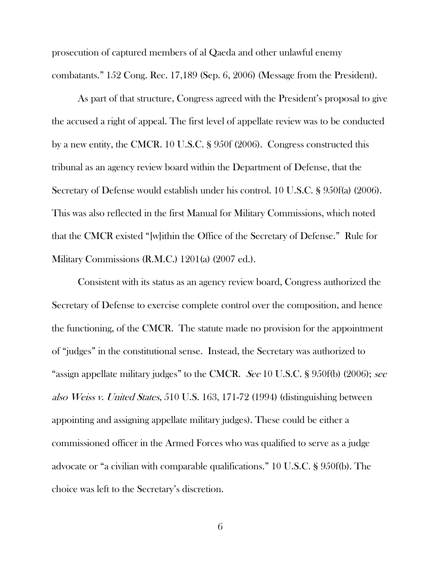prosecution of captured members of al Qaeda and other unlawful enemy combatants." 152 Cong. Rec. 17,189 (Sep. 6, 2006) (Message from the President).

As part of that structure, Congress agreed with the President's proposal to give the accused a right of appeal. The first level of appellate review was to be conducted by a new entity, the CMCR. 10 U.S.C. § 950f (2006). Congress constructed this tribunal as an agency review board within the Department of Defense, that the Secretary of Defense would establish under his control. 10 U.S.C. § 950f(a) (2006). This was also reflected in the first Manual for Military Commissions, which noted that the CMCR existed "[w]ithin the Office of the Secretary of Defense." Rule for Military Commissions (R.M.C.) 1201(a) (2007 ed.).

Consistent with its status as an agency review board, Congress authorized the Secretary of Defense to exercise complete control over the composition, and hence the functioning, of the CMCR. The statute made no provision for the appointment of "judges" in the constitutional sense. Instead, the Secretary was authorized to "assign appellate military judges" to the CMCR. See 10 U.S.C. § 950f(b) (2006); see also Weiss v. United States, 510 U.S. 163, 171-72 (1994) (distinguishing between appointing and assigning appellate military judges). These could be either a commissioned officer in the Armed Forces who was qualified to serve as a judge advocate or "a civilian with comparable qualifications." 10 U.S.C. § 950f(b). The choice was left to the Secretary's discretion.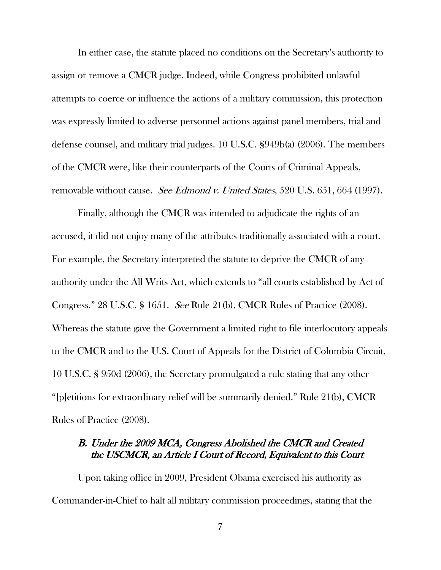In either case, the statute placed no conditions on the Secretary's authority to assign or remove a CMCR judge. Indeed, while Congress prohibited unlawful attempts to coerce or influence the actions of a military commission, this protection was expressly limited to adverse personnel actions against panel members, trial and defense counsel, and military trial judges. 10 U.S.C. §949b(a) (2006). The members of the CMCR were, like their counterparts of the Courts of Criminal Appeals, removable without cause. See Edmond v. United States, 520 U.S. 651, 664 (1997).

Finally, although the CMCR was intended to adjudicate the rights of an accused, it did not enjoy many of the attributes traditionally associated with a court. For example, the Secretary interpreted the statute to deprive the CMCR of any authority under the All Writs Act, which extends to "all courts established by Act of Congress." 28 U.S.C. § 1651. See Rule 21(b), CMCR Rules of Practice (2008). Whereas the statute gave the Government a limited right to file interlocutory appeals to the CMCR and to the U.S. Court of Appeals for the District of Columbia Circuit, 10 U.S.C. § 950d (2006), the Secretary promulgated a rule stating that any other "[p]etitions for extraordinary relief will be summarily denied." Rule 21(b), CMCR Rules of Practice (2008).

# B. Under the 2009 MCA, Congress Abolished the CMCR and Created the USCMCR, an Article I Court of Record, Equivalent to this Court

Upon taking office in 2009, President Obama exercised his authority as Commander-in-Chief to halt all military commission proceedings, stating that the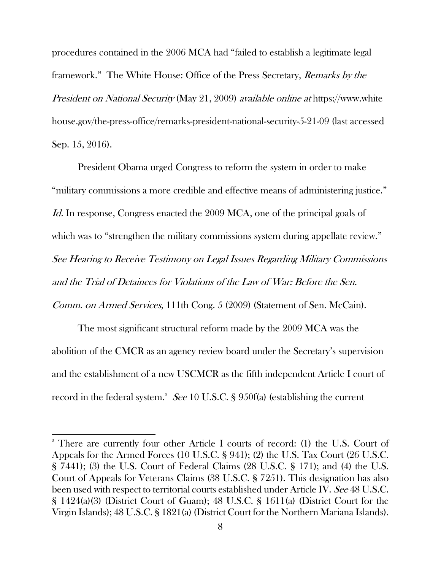procedures contained in the 2006 MCA had "failed to establish a legitimate legal framework." The White House: Office of the Press Secretary, Remarks by the President on National Security (May 21, 2009) available online at https://www.white house.gov/the-press-office/remarks-president-national-security-5-21-09 (last accessed Sep. 15, 2016).

President Obama urged Congress to reform the system in order to make "military commissions a more credible and effective means of administering justice." Id. In response, Congress enacted the 2009 MCA, one of the principal goals of which was to "strengthen the military commissions system during appellate review." See Hearing to Receive Testimony on Legal Issues Regarding Military Commissions and the Trial of Detainees for Violations of the Law of War: Before the Sen. Comm. on Armed Services, 111th Cong. 5 (2009) (Statement of Sen. McCain).

The most significant structural reform made by the 2009 MCA was the abolition of the CMCR as an agency review board under the Secretary's supervision and the establishment of a new USCMCR as the fifth independent Article I court of record in the federal system. $^2$  $^2$  See 10 U.S.C. § 950f(a) (establishing the current

<span id="page-14-0"></span><sup>&</sup>lt;sup>2</sup> There are currently four other Article I courts of record: (1) the U.S. Court of Appeals for the Armed Forces (10 U.S.C. § 941); (2) the U.S. Tax Court (26 U.S.C. § 7441); (3) the U.S. Court of Federal Claims (28 U.S.C. § 171); and (4) the U.S. Court of Appeals for Veterans Claims (38 U.S.C. § 7251). This designation has also been used with respect to territorial courts established under Article IV. See 48 U.S.C. § 1424(a)(3) (District Court of Guam); 48 U.S.C. § 1611(a) (District Court for the Virgin Islands); 48 U.S.C. § 1821(a) (District Court for the Northern Mariana Islands).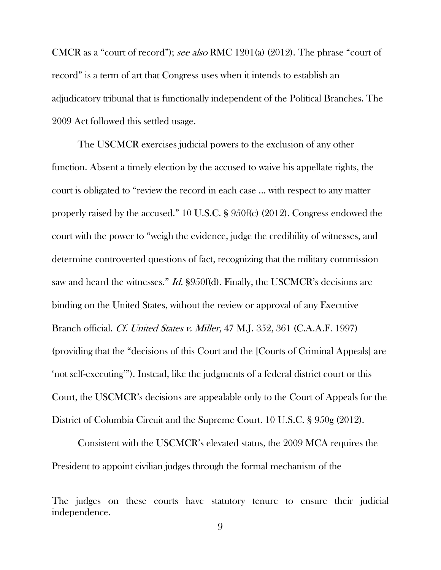CMCR as a "court of record"); see also RMC 1201(a) (2012). The phrase "court of record" is a term of art that Congress uses when it intends to establish an adjudicatory tribunal that is functionally independent of the Political Branches. The 2009 Act followed this settled usage.

The USCMCR exercises judicial powers to the exclusion of any other function. Absent a timely election by the accused to waive his appellate rights, the court is obligated to "review the record in each case … with respect to any matter properly raised by the accused." 10 U.S.C. § 950f(c) (2012). Congress endowed the court with the power to "weigh the evidence, judge the credibility of witnesses, and determine controverted questions of fact, recognizing that the military commission saw and heard the witnesses." *Id.* §950f(d). Finally, the USCMCR's decisions are binding on the United States, without the review or approval of any Executive Branch official. Cf. United States v. Miller, 47 M.J. 352, 361 (C.A.A.F. 1997) (providing that the "decisions of this Court and the [Courts of Criminal Appeals] are 'not self-executing'"). Instead, like the judgments of a federal district court or this Court, the USCMCR's decisions are appealable only to the Court of Appeals for the District of Columbia Circuit and the Supreme Court. 10 U.S.C. § 950g (2012).

Consistent with the USCMCR's elevated status, the 2009 MCA requires the President to appoint civilian judges through the formal mechanism of the

The judges on these courts have statutory tenure to ensure their judicial independence.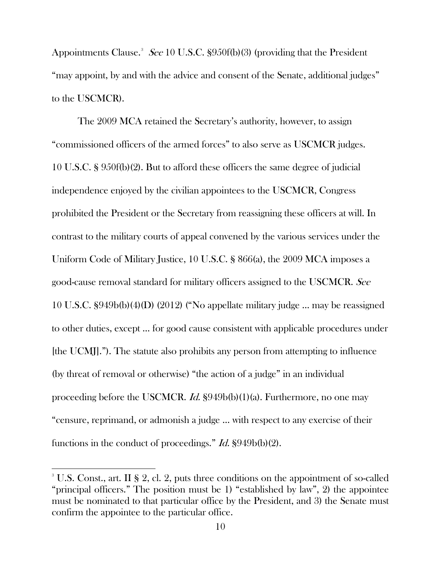Appointments Clause.<sup>[3](#page-16-0)</sup> See 10 U.S.C.  $\S 950f(b)(3)$  (providing that the President "may appoint, by and with the advice and consent of the Senate, additional judges" to the USCMCR).

The 2009 MCA retained the Secretary's authority, however, to assign "commissioned officers of the armed forces" to also serve as USCMCR judges. 10 U.S.C. § 950f(b)(2). But to afford these officers the same degree of judicial independence enjoyed by the civilian appointees to the USCMCR, Congress prohibited the President or the Secretary from reassigning these officers at will. In contrast to the military courts of appeal convened by the various services under the Uniform Code of Military Justice, 10 U.S.C. § 866(a), the 2009 MCA imposes a good-cause removal standard for military officers assigned to the USCMCR. See 10 U.S.C. §949b(b)(4)(D) (2012) ("No appellate military judge … may be reassigned to other duties, except … for good cause consistent with applicable procedures under [the UCMJ]."). The statute also prohibits any person from attempting to influence (by threat of removal or otherwise) "the action of a judge" in an individual proceeding before the USCMCR. *Id.*  $\S 949b(b)(1)(a)$ . Furthermore, no one may "censure, reprimand, or admonish a judge … with respect to any exercise of their functions in the conduct of proceedings." Id. §949b(b)(2).

<span id="page-16-0"></span><sup>&</sup>lt;sup>3</sup> U.S. Const., art. II § 2, cl. 2, puts three conditions on the appointment of so-called "principal officers." The position must be 1) "established by law", 2) the appointee must be nominated to that particular office by the President, and 3) the Senate must confirm the appointee to the particular office.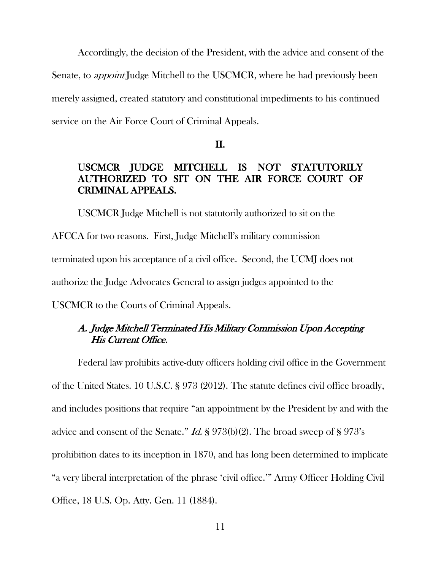Accordingly, the decision of the President, with the advice and consent of the Senate, to *appoint* Judge Mitchell to the USCMCR, where he had previously been merely assigned, created statutory and constitutional impediments to his continued service on the Air Force Court of Criminal Appeals.

II.

# USCMCR JUDGE MITCHELL IS NOT STATUTORILY AUTHORIZED TO SIT ON THE AIR FORCE COURT OF CRIMINAL APPEALS.

USCMCR Judge Mitchell is not statutorily authorized to sit on the AFCCA for two reasons. First, Judge Mitchell's military commission terminated upon his acceptance of a civil office. Second, the UCMJ does not authorize the Judge Advocates General to assign judges appointed to the

USCMCR to the Courts of Criminal Appeals.

# A. Judge Mitchell Terminated His Military Commission Upon Accepting His Current Office.

Federal law prohibits active-duty officers holding civil office in the Government of the United States. 10 U.S.C. § 973 (2012). The statute defines civil office broadly, and includes positions that require "an appointment by the President by and with the advice and consent of the Senate." *Id.*  $\frac{1}{2}$  973(b)(2). The broad sweep of  $\frac{1}{2}$  973's prohibition dates to its inception in 1870, and has long been determined to implicate "a very liberal interpretation of the phrase 'civil office.'" Army Officer Holding Civil Office, 18 U.S. Op. Atty. Gen. 11 (1884).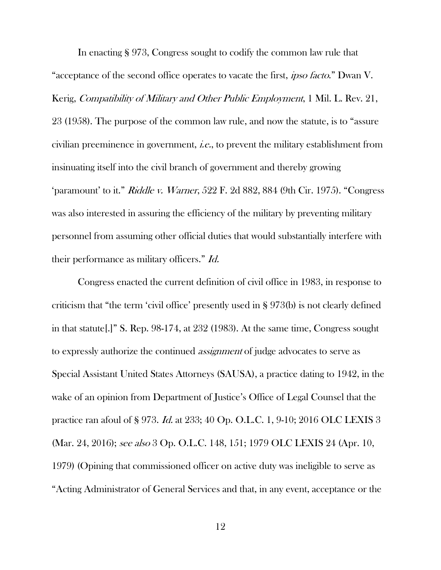In enacting § 973, Congress sought to codify the common law rule that "acceptance of the second office operates to vacate the first, *ipso facto*." Dwan V. Kerig, Compatibility of Military and Other Public Employment, 1 Mil. L. Rev. 21, 23 (1958). The purpose of the common law rule, and now the statute, is to "assure civilian preeminence in government, i.e., to prevent the military establishment from insinuating itself into the civil branch of government and thereby growing 'paramount' to it." Riddle v. Warner, 522 F. 2d 882, 884 (9th Cir. 1975). "Congress was also interested in assuring the efficiency of the military by preventing military personnel from assuming other official duties that would substantially interfere with their performance as military officers." Id.

Congress enacted the current definition of civil office in 1983, in response to criticism that "the term 'civil office' presently used in § 973(b) is not clearly defined in that statute[.]" S. Rep. 98-174, at 232 (1983). At the same time, Congress sought to expressly authorize the continued assignment of judge advocates to serve as Special Assistant United States Attorneys (SAUSA), a practice dating to 1942, in the wake of an opinion from Department of Justice's Office of Legal Counsel that the practice ran afoul of § 973. Id. at 233; 40 Op. O.L.C. 1, 9-10; 2016 OLC LEXIS 3 (Mar. 24, 2016); see also 3 Op. O.L.C. 148, 151; 1979 OLC LEXIS 24 (Apr. 10, 1979) (Opining that commissioned officer on active duty was ineligible to serve as "Acting Administrator of General Services and that, in any event, acceptance or the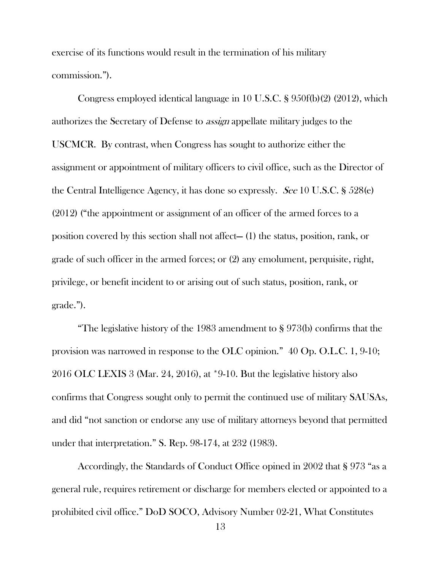exercise of its functions would result in the termination of his military commission.").

Congress employed identical language in 10 U.S.C. § 950f(b)(2) (2012), which authorizes the Secretary of Defense to assign appellate military judges to the USCMCR. By contrast, when Congress has sought to authorize either the assignment or appointment of military officers to civil office, such as the Director of the Central Intelligence Agency, it has done so expressly. See 10 U.S.C. § 528(e) (2012) ("the appointment or assignment of an officer of the armed forces to a position covered by this section shall not affect— (1) the status, position, rank, or grade of such officer in the armed forces; or (2) any emolument, perquisite, right, privilege, or benefit incident to or arising out of such status, position, rank, or grade.").

"The legislative history of the 1983 amendment to § 973(b) confirms that the provision was narrowed in response to the OLC opinion." 40 Op. O.L.C. 1, 9-10; 2016 OLC LEXIS 3 (Mar. 24, 2016), at \*9-10. But the legislative history also confirms that Congress sought only to permit the continued use of military SAUSAs, and did "not sanction or endorse any use of military attorneys beyond that permitted under that interpretation." S. Rep. 98-174, at 232 (1983).

Accordingly, the Standards of Conduct Office opined in 2002 that § 973 "as a general rule, requires retirement or discharge for members elected or appointed to a prohibited civil office." DoD SOCO, Advisory Number 02-21, What Constitutes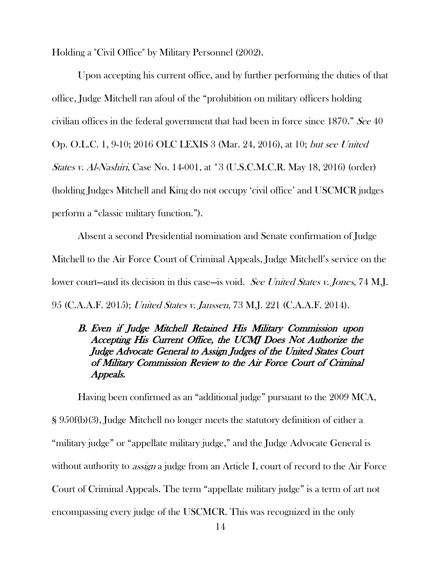Holding a "Civil Office" by Military Personnel (2002).

Upon accepting his current office, and by further performing the duties of that office, Judge Mitchell ran afoul of the "prohibition on military officers holding civilian offices in the federal government that had been in force since 1870." See 40 Op. O.L.C. 1, 9-10; 2016 OLC LEXIS 3 (Mar. 24, 2016), at 10; but see United States v. Al-Nashiri, Case No. 14-001, at \*3 (U.S.C.M.C.R. May 18, 2016) (order) (holding Judges Mitchell and King do not occupy 'civil office' and USCMCR judges perform a "classic military function.").

Absent a second Presidential nomination and Senate confirmation of Judge Mitchell to the Air Force Court of Criminal Appeals, Judge Mitchell's service on the lower court—and its decision in this case—is void. See United States v. Jones, 74 M.J. 95 (C.A.A.F. 2015); United States v. Janssen, 73 M.J. 221 (C.A.A.F. 2014).

# B. Even if Judge Mitchell Retained His Military Commission upon Accepting His Current Office, the UCMJ Does Not Authorize the Judge Advocate General to Assign Judges of the United States Court of Military Commission Review to the Air Force Court of Criminal Appeals.

Having been confirmed as an "additional judge" pursuant to the 2009 MCA, § 950f(b)(3), Judge Mitchell no longer meets the statutory definition of either a "military judge" or "appellate military judge," and the Judge Advocate General is without authority to *assign* a judge from an Article I, court of record to the Air Force Court of Criminal Appeals. The term "appellate military judge" is a term of art not encompassing every judge of the USCMCR. This was recognized in the only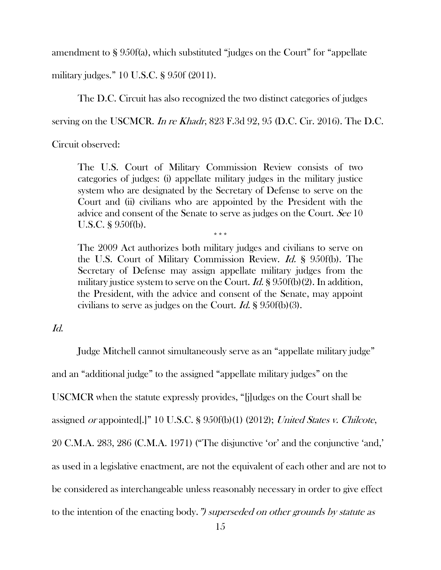amendment to § 950f(a), which substituted "judges on the Court" for "appellate

military judges." 10 U.S.C. § 950f (2011).

The D.C. Circuit has also recognized the two distinct categories of judges

serving on the USCMCR. In re Khadr, 823 F.3d 92, 95 (D.C. Cir. 2016). The D.C.

Circuit observed:

The U.S. Court of Military Commission Review consists of two categories of judges: (i) appellate military judges in the military justice system who are designated by the Secretary of Defense to serve on the Court and (ii) civilians who are appointed by the President with the advice and consent of the Senate to serve as judges on the Court. See 10 U.S.C. § 950f(b).

\*\*\*

The 2009 Act authorizes both military judges and civilians to serve on the U.S. Court of Military Commission Review. Id. § 950f(b). The Secretary of Defense may assign appellate military judges from the military justice system to serve on the Court. *Id.*  $\S 950f(b)(2)$ . In addition, the President, with the advice and consent of the Senate, may appoint civilians to serve as judges on the Court. *Id.*  $\frac{1}{2}$  950f(b)(3).

### Id.

Judge Mitchell cannot simultaneously serve as an "appellate military judge"

and an "additional judge" to the assigned "appellate military judges" on the

USCMCR when the statute expressly provides, "[j]udges on the Court shall be

assigned or appointed[.]" 10 U.S.C. § 950f(b)(1) (2012); United States v. Chilcote,

20 C.M.A. 283, 286 (C.M.A. 1971) ("The disjunctive 'or' and the conjunctive 'and,'

as used in a legislative enactment, are not the equivalent of each other and are not to

be considered as interchangeable unless reasonably necessary in order to give effect

to the intention of the enacting body.") superseded on other grounds by statute as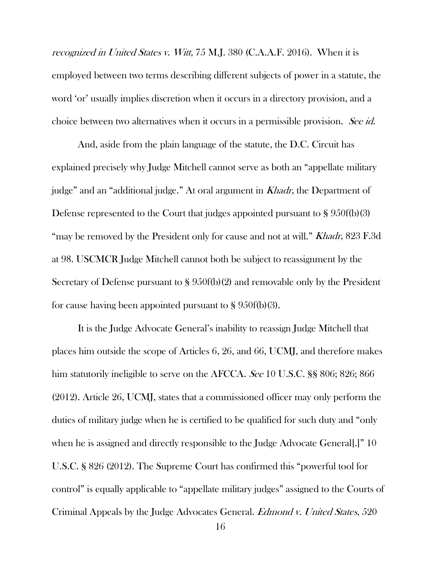recognized in United States v. Witt, 75 M.J. 380 (C.A.A.F. 2016). When it is employed between two terms describing different subjects of power in a statute, the word 'or' usually implies discretion when it occurs in a directory provision, and a choice between two alternatives when it occurs in a permissible provision. See id.

And, aside from the plain language of the statute, the D.C. Circuit has explained precisely why Judge Mitchell cannot serve as both an "appellate military judge" and an "additional judge." At oral argument in Khadr, the Department of Defense represented to the Court that judges appointed pursuant to § 950f(b)(3) "may be removed by the President only for cause and not at will." Khadr, 823 F.3d at 98. USCMCR Judge Mitchell cannot both be subject to reassignment by the Secretary of Defense pursuant to § 950f(b)(2) and removable only by the President for cause having been appointed pursuant to  $\S 950f(b)(3)$ .

It is the Judge Advocate General's inability to reassign Judge Mitchell that places him outside the scope of Articles 6, 26, and 66, UCMJ, and therefore makes him statutorily ineligible to serve on the AFCCA. See 10 U.S.C. §§ 806; 826; 866 (2012). Article 26, UCMJ, states that a commissioned officer may only perform the duties of military judge when he is certified to be qualified for such duty and "only when he is assigned and directly responsible to the Judge Advocate General[.]" 10 U.S.C. § 826 (2012). The Supreme Court has confirmed this "powerful tool for control" is equally applicable to "appellate military judges" assigned to the Courts of Criminal Appeals by the Judge Advocates General. Edmond v. United States, 520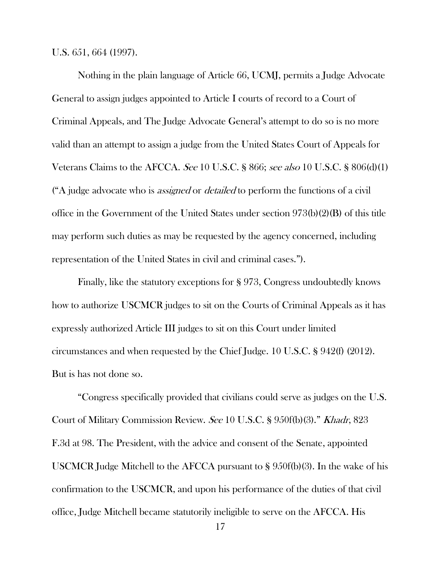U.S. 651, 664 (1997).

Nothing in the plain language of Article 66, UCMJ, permits a Judge Advocate General to assign judges appointed to Article I courts of record to a Court of Criminal Appeals, and The Judge Advocate General's attempt to do so is no more valid than an attempt to assign a judge from the United States Court of Appeals for Veterans Claims to the AFCCA. See 10 U.S.C. § 866; see also 10 U.S.C. § 806(d)(1) ( $A$  judge advocate who is *assigned* or *detailed* to perform the functions of a civil office in the Government of the United States under section 973(b)(2)(B) of this title may perform such duties as may be requested by the agency concerned, including representation of the United States in civil and criminal cases.").

Finally, like the statutory exceptions for § 973, Congress undoubtedly knows how to authorize USCMCR judges to sit on the Courts of Criminal Appeals as it has expressly authorized Article III judges to sit on this Court under limited circumstances and when requested by the Chief Judge. 10 U.S.C. § 942(f) (2012). But is has not done so.

"Congress specifically provided that civilians could serve as judges on the U.S. Court of Military Commission Review. See 10 U.S.C. § 950f(b)(3)." Khadr, 823 F.3d at 98. The President, with the advice and consent of the Senate, appointed USCMCR Judge Mitchell to the AFCCA pursuant to § 950f(b)(3). In the wake of his confirmation to the USCMCR, and upon his performance of the duties of that civil office, Judge Mitchell became statutorily ineligible to serve on the AFCCA. His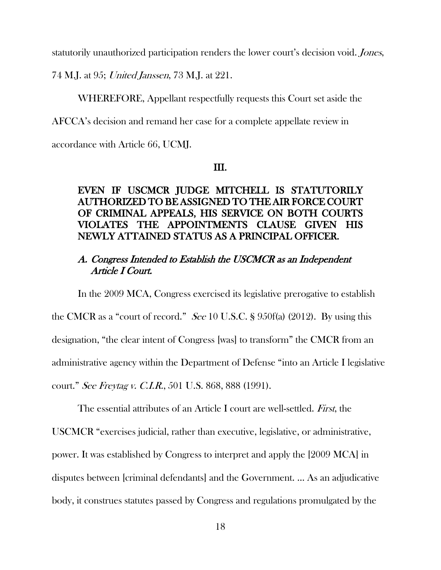statutorily unauthorized participation renders the lower court's decision void. Jones,

74 M.J. at 95; United Janssen, 73 M.J. at 221.

WHEREFORE, Appellant respectfully requests this Court set aside the

AFCCA's decision and remand her case for a complete appellate review in

accordance with Article 66, UCMJ.

#### III.

# EVEN IF USCMCR JUDGE MITCHELL IS STATUTORILY AUTHORIZED TO BE ASSIGNED TO THE AIR FORCE COURT OF CRIMINAL APPEALS, HIS SERVICE ON BOTH COURTS VIOLATES THE APPOINTMENTS CLAUSE GIVEN HIS NEWLY ATTAINED STATUS AS A PRINCIPAL OFFICER.

# A. Congress Intended to Establish the USCMCR as an Independent Article I Court.

In the 2009 MCA, Congress exercised its legislative prerogative to establish

the CMCR as a "court of record." See 10 U.S.C. § 950f(a) (2012). By using this designation, "the clear intent of Congress [was] to transform" the CMCR from an administrative agency within the Department of Defense "into an Article I legislative court." See Freytag v. C.I.R., 501 U.S. 868, 888 (1991).

The essential attributes of an Article I court are well-settled. First, the USCMCR "exercises judicial, rather than executive, legislative, or administrative, power. It was established by Congress to interpret and apply the [2009 MCA] in disputes between [criminal defendants] and the Government. … As an adjudicative body, it construes statutes passed by Congress and regulations promulgated by the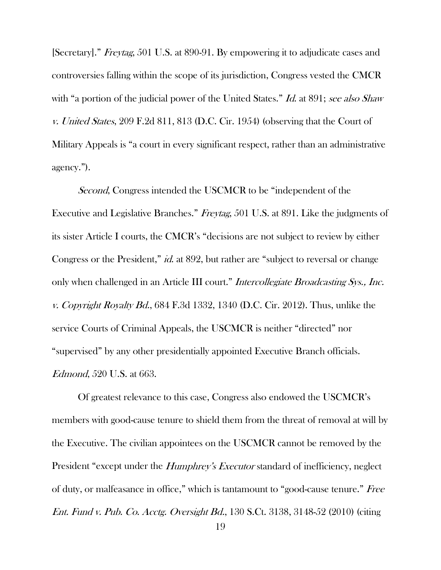[Secretary]." Freytag, 501 U.S. at 890-91. By empowering it to adjudicate cases and controversies falling within the scope of its jurisdiction, Congress vested the CMCR with "a portion of the judicial power of the United States." Id. at 891; see also Shaw v. United States, 209 F.2d 811, 813 (D.C. Cir. 1954) (observing that the Court of Military Appeals is "a court in every significant respect, rather than an administrative agency.").

Second, Congress intended the USCMCR to be "independent of the Executive and Legislative Branches." Freytag, 501 U.S. at 891. Like the judgments of its sister Article I courts, the CMCR's "decisions are not subject to review by either Congress or the President," *id.* at 892, but rather are "subject to reversal or change only when challenged in an Article III court." Intercollegiate Broadcasting Sys., Inc. v. Copyright Royalty Bd.,  $684$  F.3d 1332, 1340 (D.C. Cir. 2012). Thus, unlike the service Courts of Criminal Appeals, the USCMCR is neither "directed" nor "supervised" by any other presidentially appointed Executive Branch officials. Edmond, 520 U.S. at 663.

Of greatest relevance to this case, Congress also endowed the USCMCR's members with good-cause tenure to shield them from the threat of removal at will by the Executive. The civilian appointees on the USCMCR cannot be removed by the President "except under the *Humphrey's Executor* standard of inefficiency, neglect of duty, or malfeasance in office," which is tantamount to "good-cause tenure." Free Ent. Fund v. Pub. Co. Acctg. Oversight Bd., 130 S.Ct. 3138, 3148-52 (2010) (citing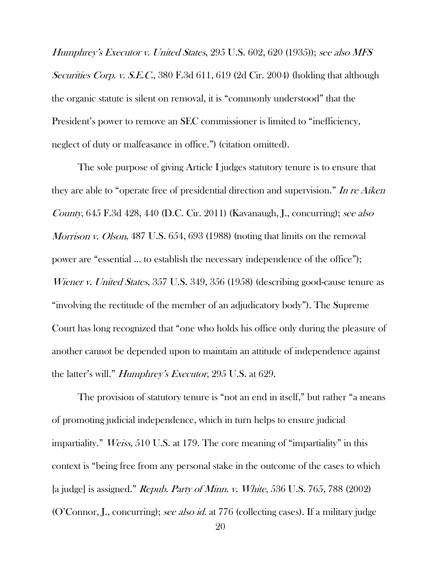Humphrey's Executor v. United States, 295 U.S. 602, 620 (1935)); see also MFS Securities Corp. v. S.E.C., 380 F.3d 611, 619 (2d Cir. 2004) (holding that although the organic statute is silent on removal, it is "commonly understood" that the President's power to remove an SEC commissioner is limited to "inefficiency, neglect of duty or malfeasance in office.") (citation omitted).

The sole purpose of giving Article I judges statutory tenure is to ensure that they are able to "operate free of presidential direction and supervision." In re Aiken County, 645 F.3d 428, 440 (D.C. Cir. 2011) (Kavanaugh, J., concurring); see also Morrison v. Olson, 487 U.S. 654, 693 (1988) (noting that limits on the removal power are "essential … to establish the necessary independence of the office"); Wiener v. United States, 357 U.S. 349, 356 (1958) (describing good-cause tenure as "involving the rectitude of the member of an adjudicatory body"). The Supreme Court has long recognized that "one who holds his office only during the pleasure of another cannot be depended upon to maintain an attitude of independence against the latter's will." Humphrey's Executor, 295 U.S. at 629.

The provision of statutory tenure is "not an end in itself," but rather "a means of promoting judicial independence, which in turn helps to ensure judicial impartiality." Weiss, 510 U.S. at 179. The core meaning of "impartiality" in this context is "being free from any personal stake in the outcome of the cases to which [a judge] is assigned." Repub. Party of Minn. v. White, 536 U.S. 765, 788 (2002) (O'Connor, J., concurring); see also id. at 776 (collecting cases). If a military judge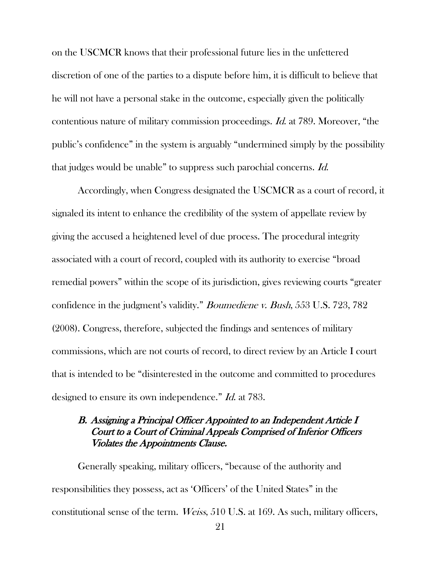on the USCMCR knows that their professional future lies in the unfettered discretion of one of the parties to a dispute before him, it is difficult to believe that he will not have a personal stake in the outcome, especially given the politically contentious nature of military commission proceedings. Id. at 789. Moreover, "the public's confidence" in the system is arguably "undermined simply by the possibility that judges would be unable" to suppress such parochial concerns. Id.

Accordingly, when Congress designated the USCMCR as a court of record, it signaled its intent to enhance the credibility of the system of appellate review by giving the accused a heightened level of due process. The procedural integrity associated with a court of record, coupled with its authority to exercise "broad remedial powers" within the scope of its jurisdiction, gives reviewing courts "greater confidence in the judgment's validity." Boumediene v. Bush, 553 U.S. 723, 782 (2008). Congress, therefore, subjected the findings and sentences of military commissions, which are not courts of record, to direct review by an Article I court that is intended to be "disinterested in the outcome and committed to procedures designed to ensure its own independence." *Id.* at 783.

# B. Assigning a Principal Officer Appointed to an Independent Article I Court to a Court of Criminal Appeals Comprised of Inferior Officers Violates the Appointments Clause.

Generally speaking, military officers, "because of the authority and responsibilities they possess, act as 'Officers' of the United States" in the constitutional sense of the term. Weiss, 510 U.S. at 169. As such, military officers,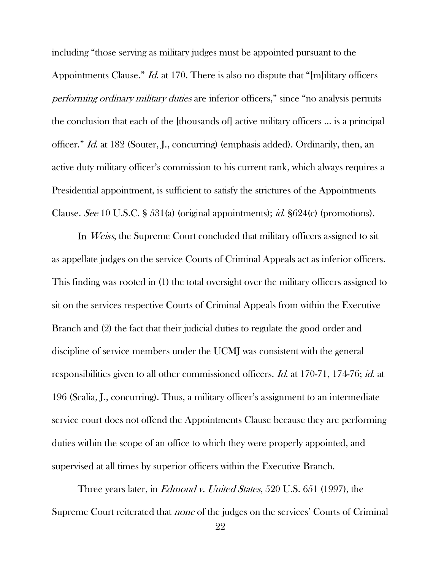including "those serving as military judges must be appointed pursuant to the Appointments Clause." *Id.* at 170. There is also no dispute that "[m]ilitary officers performing ordinary military duties are inferior officers," since "no analysis permits the conclusion that each of the [thousands of] active military officers … is a principal officer." Id. at 182 (Souter, J., concurring) (emphasis added). Ordinarily, then, an active duty military officer's commission to his current rank, which always requires a Presidential appointment, is sufficient to satisfy the strictures of the Appointments Clause. See 10 U.S.C. § 531(a) (original appointments); id. §624(c) (promotions).

In *Weiss*, the Supreme Court concluded that military officers assigned to sit as appellate judges on the service Courts of Criminal Appeals act as inferior officers. This finding was rooted in (1) the total oversight over the military officers assigned to sit on the services respective Courts of Criminal Appeals from within the Executive Branch and (2) the fact that their judicial duties to regulate the good order and discipline of service members under the UCMJ was consistent with the general responsibilities given to all other commissioned officers. *Id.* at 170-71, 174-76; *id.* at 196 (Scalia, J., concurring). Thus, a military officer's assignment to an intermediate service court does not offend the Appointments Clause because they are performing duties within the scope of an office to which they were properly appointed, and supervised at all times by superior officers within the Executive Branch.

Three years later, in *Edmond v. United States*, 520 U.S. 651 (1997), the Supreme Court reiterated that none of the judges on the services' Courts of Criminal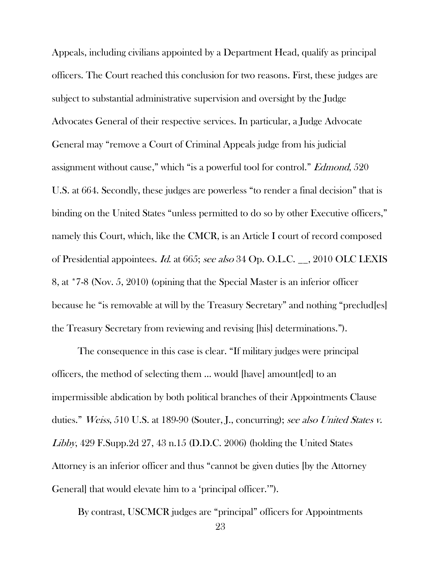Appeals, including civilians appointed by a Department Head, qualify as principal officers. The Court reached this conclusion for two reasons. First, these judges are subject to substantial administrative supervision and oversight by the Judge Advocates General of their respective services. In particular, a Judge Advocate General may "remove a Court of Criminal Appeals judge from his judicial assignment without cause," which "is a powerful tool for control." *Edmond*, 520 U.S. at 664. Secondly, these judges are powerless "to render a final decision" that is binding on the United States "unless permitted to do so by other Executive officers," namely this Court, which, like the CMCR, is an Article I court of record composed of Presidential appointees. Id. at 665; see also 34 Op. O.L.C. \_\_, 2010 OLC LEXIS 8, at \*7-8 (Nov. 5, 2010) (opining that the Special Master is an inferior officer because he "is removable at will by the Treasury Secretary" and nothing "preclud[es] the Treasury Secretary from reviewing and revising [his] determinations.").

The consequence in this case is clear. "If military judges were principal officers, the method of selecting them … would [have] amount[ed] to an impermissible abdication by both political branches of their Appointments Clause duties." Weiss, 510 U.S. at 189-90 (Souter, J., concurring); see also United States v. Libby, 429 F.Supp.2d 27, 43 n.15 (D.D.C. 2006) (holding the United States Attorney is an inferior officer and thus "cannot be given duties [by the Attorney General] that would elevate him to a 'principal officer.'").

By contrast, USCMCR judges are "principal" officers for Appointments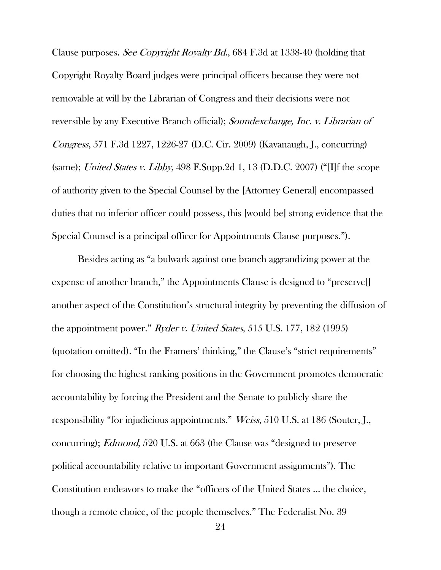Clause purposes. See Copyright Royalty Bd., 684 F.3d at 1338-40 (holding that Copyright Royalty Board judges were principal officers because they were not removable at will by the Librarian of Congress and their decisions were not reversible by any Executive Branch official); Soundexchange, Inc. v. Librarian of Congress, 571 F.3d 1227, 1226-27 (D.C. Cir. 2009) (Kavanaugh, J., concurring) (same); United States v. Libby, 498 F.Supp.2d 1, 13 (D.D.C. 2007) ("[I]f the scope of authority given to the Special Counsel by the [Attorney General] encompassed duties that no inferior officer could possess, this [would be] strong evidence that the Special Counsel is a principal officer for Appointments Clause purposes.").

Besides acting as "a bulwark against one branch aggrandizing power at the expense of another branch," the Appointments Clause is designed to "preserve[] another aspect of the Constitution's structural integrity by preventing the diffusion of the appointment power." Ryder v. United States, 515 U.S. 177, 182 (1995) (quotation omitted). "In the Framers' thinking," the Clause's "strict requirements" for choosing the highest ranking positions in the Government promotes democratic accountability by forcing the President and the Senate to publicly share the responsibility "for injudicious appointments." Weiss, 510 U.S. at 186 (Souter, J., concurring); Edmond, 520 U.S. at 663 (the Clause was "designed to preserve political accountability relative to important Government assignments"). The Constitution endeavors to make the "officers of the United States … the choice, though a remote choice, of the people themselves." The Federalist No. 39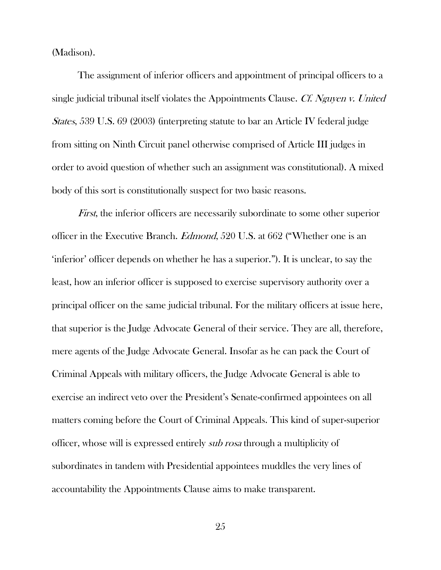(Madison).

The assignment of inferior officers and appointment of principal officers to a single judicial tribunal itself violates the Appointments Clause. Cf. Nguyen v. United States, 539 U.S. 69 (2003) (interpreting statute to bar an Article IV federal judge from sitting on Ninth Circuit panel otherwise comprised of Article III judges in order to avoid question of whether such an assignment was constitutional). A mixed body of this sort is constitutionally suspect for two basic reasons.

*First*, the inferior officers are necessarily subordinate to some other superior officer in the Executive Branch. Edmond, 520 U.S. at 662 ("Whether one is an 'inferior' officer depends on whether he has a superior."). It is unclear, to say the least, how an inferior officer is supposed to exercise supervisory authority over a principal officer on the same judicial tribunal. For the military officers at issue here, that superior is the Judge Advocate General of their service. They are all, therefore, mere agents of the Judge Advocate General. Insofar as he can pack the Court of Criminal Appeals with military officers, the Judge Advocate General is able to exercise an indirect veto over the President's Senate-confirmed appointees on all matters coming before the Court of Criminal Appeals. This kind of super-superior officer, whose will is expressed entirely sub rosa through a multiplicity of subordinates in tandem with Presidential appointees muddles the very lines of accountability the Appointments Clause aims to make transparent.

25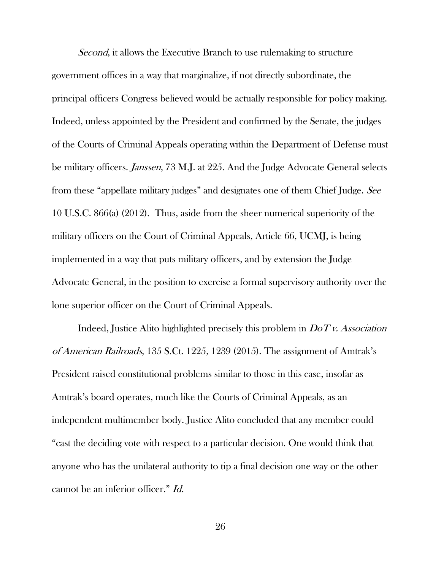Second, it allows the Executive Branch to use rulemaking to structure government offices in a way that marginalize, if not directly subordinate, the principal officers Congress believed would be actually responsible for policy making. Indeed, unless appointed by the President and confirmed by the Senate, the judges of the Courts of Criminal Appeals operating within the Department of Defense must be military officers. Janssen, 73 M.J. at 225. And the Judge Advocate General selects from these "appellate military judges" and designates one of them Chief Judge. See 10 U.S.C. 866(a) (2012). Thus, aside from the sheer numerical superiority of the military officers on the Court of Criminal Appeals, Article 66, UCMJ, is being implemented in a way that puts military officers, and by extension the Judge Advocate General, in the position to exercise a formal supervisory authority over the lone superior officer on the Court of Criminal Appeals.

Indeed, Justice Alito highlighted precisely this problem in  $DoTv$ . Association of American Railroads, 135 S.Ct. 1225, 1239 (2015). The assignment of Amtrak's President raised constitutional problems similar to those in this case, insofar as Amtrak's board operates, much like the Courts of Criminal Appeals, as an independent multimember body. Justice Alito concluded that any member could "cast the deciding vote with respect to a particular decision. One would think that anyone who has the unilateral authority to tip a final decision one way or the other cannot be an inferior officer." Id.

26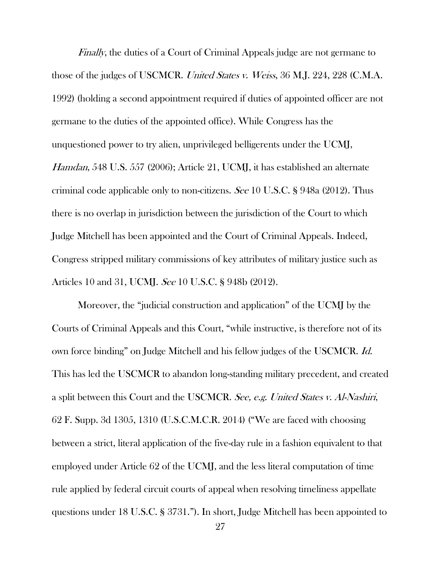Finally, the duties of a Court of Criminal Appeals judge are not germane to those of the judges of USCMCR. United States v. Weiss, 36 M.J. 224, 228 (C.M.A. 1992) (holding a second appointment required if duties of appointed officer are not germane to the duties of the appointed office). While Congress has the unquestioned power to try alien, unprivileged belligerents under the UCMJ, Hamdan, 548 U.S. 557 (2006); Article 21, UCMJ, it has established an alternate criminal code applicable only to non-citizens. See 10 U.S.C. § 948a (2012). Thus there is no overlap in jurisdiction between the jurisdiction of the Court to which Judge Mitchell has been appointed and the Court of Criminal Appeals. Indeed, Congress stripped military commissions of key attributes of military justice such as Articles 10 and 31, UCMJ. See 10 U.S.C. § 948b (2012).

Moreover, the "judicial construction and application" of the UCMJ by the Courts of Criminal Appeals and this Court, "while instructive, is therefore not of its own force binding" on Judge Mitchell and his fellow judges of the USCMCR. Id. This has led the USCMCR to abandon long-standing military precedent, and created a split between this Court and the USCMCR. See, e.g. United States v. Al-Nashiri, 62 F. Supp. 3d 1305, 1310 (U.S.C.M.C.R. 2014) ("We are faced with choosing between a strict, literal application of the five-day rule in a fashion equivalent to that employed under Article 62 of the UCMJ, and the less literal computation of time rule applied by federal circuit courts of appeal when resolving timeliness appellate questions under 18 U.S.C. § 3731."). In short, Judge Mitchell has been appointed to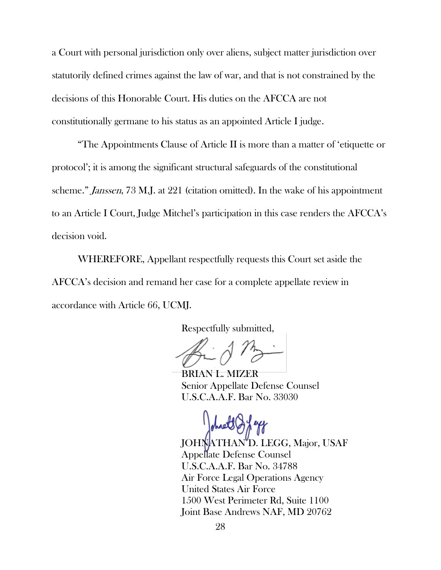a Court with personal jurisdiction only over aliens, subject matter jurisdiction over statutorily defined crimes against the law of war, and that is not constrained by the decisions of this Honorable Court. His duties on the AFCCA are not constitutionally germane to his status as an appointed Article I judge.

"The Appointments Clause of Article II is more than a matter of 'etiquette or protocol'; it is among the significant structural safeguards of the constitutional scheme." Janssen, 73 M.J. at 221 (citation omitted). In the wake of his appointment to an Article I Court, Judge Mitchel's participation in this case renders the AFCCA's decision void.

WHEREFORE, Appellant respectfully requests this Court set aside the AFCCA's decision and remand her case for a complete appellate review in accordance with Article 66, UCMJ.

Respectfully submitted,

BRIAN L. MIZER Senior Appellate Defense Counsel U.S.C.A.A.F. Bar No. 33030

JOHNATHAN<sup>'</sup>D. LEGG, Major, USAF Appellate Defense Counsel U.S.C.A.A.F. Bar No. 34788 Air Force Legal Operations Agency United States Air Force 1500 West Perimeter Rd, Suite 1100 Joint Base Andrews NAF, MD 20762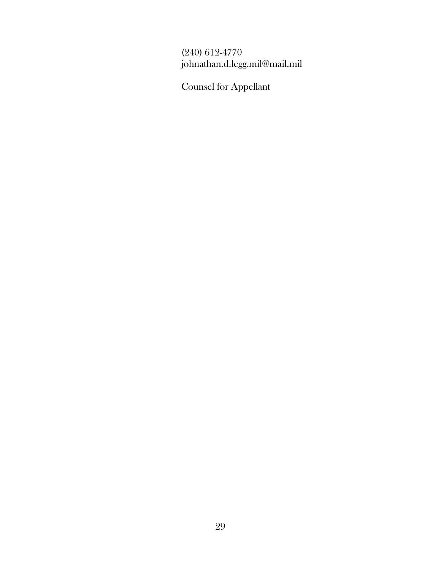# (240) 612-4770 johnathan.d.legg.mil@mail.mil

Counsel for Appellant